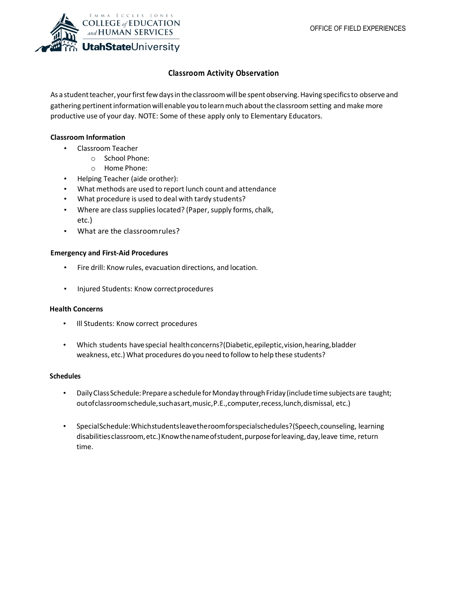

# **Classroom Activity Observation**

As a student teacher, your first few days in the classroom will be spent observing. Having specifics to observe and gathering pertinent information will enable you to learn much about the classroom setting and make more productive use of your day. NOTE: Some of these apply only to Elementary Educators.

## **Classroom Information**

- Classroom Teacher
	- o School Phone:
	- o Home Phone:
- Helping Teacher (aide orother):
- What methods are used to report lunch count and attendance
- What procedure is used to deal with tardy students?
- Where are class supplies located? (Paper, supply forms, chalk, etc.)
- What are the classroomrules?

## **Emergency and First-Aid Procedures**

- Fire drill: Know rules, evacuation directions, and location.
- Injured Students: Know correct procedures

### **Health Concerns**

- Ill Students: Know correct procedures
- Which students have special health concerns? (Diabetic, epileptic, vision, hearing, bladder weakness, etc.) What procedures do you need to follow to help these students?

### **Schedules**

- Daily Class Schedule: Prepare a schedule for Monday through Friday (include time subjects are taught; outofclassroomschedule,suchasart,music,P.E.,computer,recess,lunch,dismissal, etc.)
- SpecialSchedule:Whichstudentsleavetheroomforspecialschedules?(Speech,counseling, learning disabilities classroom, etc.) Know the name of student, purpose for leaving, day, leave time, return time.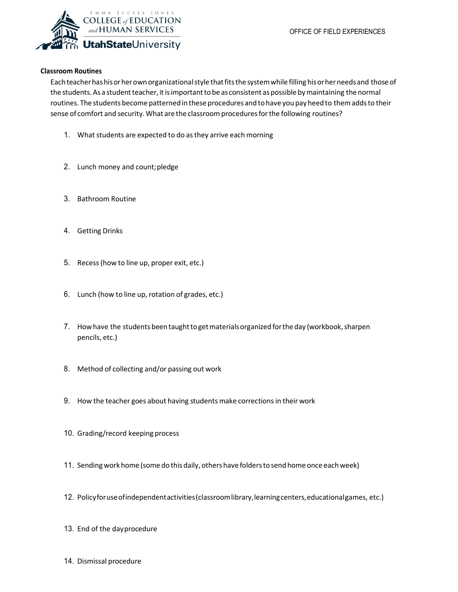

## **Classroom Routines**

Eachteacherhashisorherown organizationalstyle thatfitsthe systemwhile filling hisorherneedsand those of the students. As a student teacher, it is important to be as consistent as possible by maintaining the normal routines. The students become patterned in these procedures and to have you pay heed to them adds to their sense of comfort and security. What are the classroom procedures for the following routines?

- 1. What students are expected to do as they arrive each morning
- 2. Lunch money and count;pledge
- 3. Bathroom Routine
- 4. Getting Drinks
- 5. Recess(how to line up, proper exit, etc.)
- 6. Lunch (how to line up, rotation of grades, etc.)
- 7. How have the students been taught to get materials organized for the day (workbook, sharpen pencils, etc.)
- 8. Method of collecting and/or passing out work
- 9. How the teacher goes about having students make corrections in their work
- 10. Grading/record keeping process
- 11. Sending work home (some do this daily, others have folders to send home once each week)
- 12. Policyforuseofindependentactivities(classroomlibrary,learningcenters,educationalgames, etc.)
- 13. End of the dayprocedure
- 14. Dismissal procedure